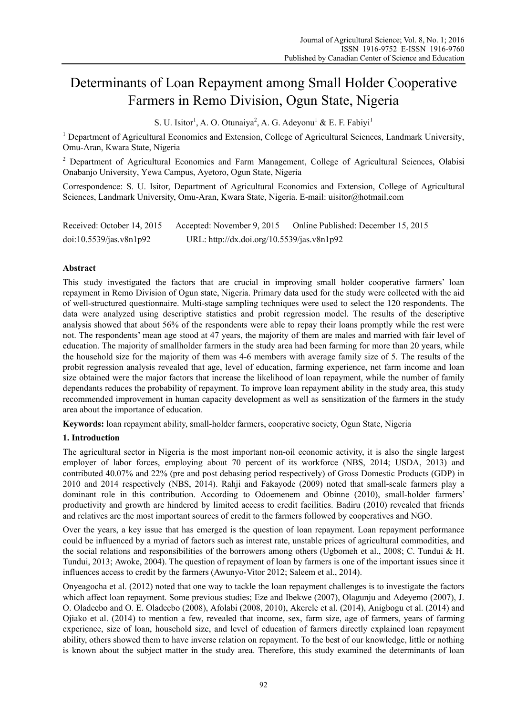# Determinants of Loan Repayment among Small Holder Cooperative Farmers in Remo Division, Ogun State, Nigeria

S. U. Isitor<sup>1</sup>, A. O. Otunaiya<sup>2</sup>, A. G. Adeyonu<sup>1</sup> & E. F. Fabiyi<sup>1</sup>

<sup>1</sup> Department of Agricultural Economics and Extension, College of Agricultural Sciences, Landmark University, Omu-Aran, Kwara State, Nigeria

<sup>2</sup> Department of Agricultural Economics and Farm Management, College of Agricultural Sciences, Olabisi Onabanjo University, Yewa Campus, Ayetoro, Ogun State, Nigeria

Correspondence: S. U. Isitor, Department of Agricultural Economics and Extension, College of Agricultural Sciences, Landmark University, Omu-Aran, Kwara State, Nigeria. E-mail: uisitor@hotmail.com

| Received: October 14, 2015 | Accepted: November 9, 2015                 | Online Published: December 15, 2015 |
|----------------------------|--------------------------------------------|-------------------------------------|
| doi:10.5539/jas.v8n1p92    | URL: http://dx.doi.org/10.5539/jas.v8n1p92 |                                     |

# **Abstract**

This study investigated the factors that are crucial in improving small holder cooperative farmers' loan repayment in Remo Division of Ogun state, Nigeria. Primary data used for the study were collected with the aid of well-structured questionnaire. Multi-stage sampling techniques were used to select the 120 respondents. The data were analyzed using descriptive statistics and probit regression model. The results of the descriptive analysis showed that about 56% of the respondents were able to repay their loans promptly while the rest were not. The respondents' mean age stood at 47 years, the majority of them are males and married with fair level of education. The majority of smallholder farmers in the study area had been farming for more than 20 years, while the household size for the majority of them was 4-6 members with average family size of 5. The results of the probit regression analysis revealed that age, level of education, farming experience, net farm income and loan size obtained were the major factors that increase the likelihood of loan repayment, while the number of family dependants reduces the probability of repayment. To improve loan repayment ability in the study area, this study recommended improvement in human capacity development as well as sensitization of the farmers in the study area about the importance of education.

**Keywords:** loan repayment ability, small-holder farmers, cooperative society, Ogun State, Nigeria

# **1. Introduction**

The agricultural sector in Nigeria is the most important non-oil economic activity, it is also the single largest employer of labor forces, employing about 70 percent of its workforce (NBS, 2014; USDA, 2013) and contributed 40.07% and 22% (pre and post debasing period respectively) of Gross Domestic Products (GDP) in 2010 and 2014 respectively (NBS, 2014). Rahji and Fakayode (2009) noted that small-scale farmers play a dominant role in this contribution. According to Odoemenem and Obinne (2010), small-holder farmers' productivity and growth are hindered by limited access to credit facilities. Badiru (2010) revealed that friends and relatives are the most important sources of credit to the farmers followed by cooperatives and NGO.

Over the years, a key issue that has emerged is the question of loan repayment. Loan repayment performance could be influenced by a myriad of factors such as interest rate, unstable prices of agricultural commodities, and the social relations and responsibilities of the borrowers among others (Ugbomeh et al., 2008; C. Tundui & H. Tundui, 2013; Awoke, 2004). The question of repayment of loan by farmers is one of the important issues since it influences access to credit by the farmers (Awunyo-Vitor 2012; Saleem et al., 2014).

Onyeagocha et al. (2012) noted that one way to tackle the loan repayment challenges is to investigate the factors which affect loan repayment. Some previous studies; Eze and Ibekwe (2007), Olagunju and Adeyemo (2007), J. O. Oladeebo and O. E. Oladeebo (2008), Afolabi (2008, 2010), Akerele et al. (2014), Anigbogu et al. (2014) and Ojiako et al. (2014) to mention a few, revealed that income, sex, farm size, age of farmers, years of farming experience, size of loan, household size, and level of education of farmers directly explained loan repayment ability, others showed them to have inverse relation on repayment. To the best of our knowledge, little or nothing is known about the subject matter in the study area. Therefore, this study examined the determinants of loan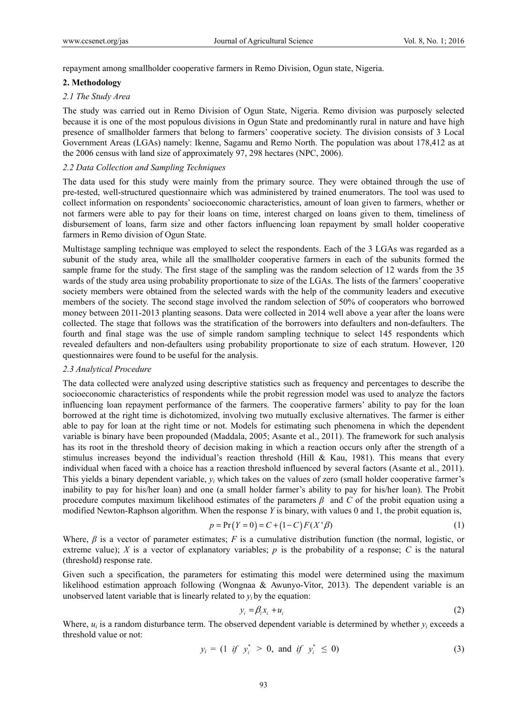repayment among smallholder cooperative farmers in Remo Division, Ogun state, Nigeria.

#### **2. Methodology**

#### *2.1 The Study Area*

The study was carried out in Remo Division of Ogun State, Nigeria. Remo division was purposely selected because it is one of the most populous divisions in Ogun State and predominantly rural in nature and have high presence of smallholder farmers that belong to farmers' cooperative society. The division consists of 3 Local Government Areas (LGAs) namely: Ikenne, Sagamu and Remo North. The population was about 178,412 as at the 2006 census with land size of approximately 97, 298 hectares (NPC, 2006).

## *2.2 Data Collection and Sampling Techniques*

The data used for this study were mainly from the primary source. They were obtained through the use of pre-tested, well-structured questionnaire which was administered by trained enumerators. The tool was used to collect information on respondents' socioeconomic characteristics, amount of loan given to farmers, whether or not farmers were able to pay for their loans on time, interest charged on loans given to them, timeliness of disbursement of loans, farm size and other factors influencing loan repayment by small holder cooperative farmers in Remo division of Ogun State.

Multistage sampling technique was employed to select the respondents. Each of the 3 LGAs was regarded as a subunit of the study area, while all the smallholder cooperative farmers in each of the subunits formed the sample frame for the study. The first stage of the sampling was the random selection of 12 wards from the 35 wards of the study area using probability proportionate to size of the LGAs. The lists of the farmers' cooperative society members were obtained from the selected wards with the help of the community leaders and executive members of the society. The second stage involved the random selection of 50% of cooperators who borrowed money between 2011-2013 planting seasons. Data were collected in 2014 well above a year after the loans were collected. The stage that follows was the stratification of the borrowers into defaulters and non-defaulters. The fourth and final stage was the use of simple random sampling technique to select 145 respondents which revealed defaulters and non-defaulters using probability proportionate to size of each stratum. However, 120 questionnaires were found to be useful for the analysis.

#### *2.3 Analytical Procedure*

The data collected were analyzed using descriptive statistics such as frequency and percentages to describe the socioeconomic characteristics of respondents while the probit regression model was used to analyze the factors influencing loan repayment performance of the farmers. The cooperative farmers' ability to pay for the loan borrowed at the right time is dichotomized, involving two mutually exclusive alternatives. The farmer is either able to pay for loan at the right time or not. Models for estimating such phenomena in which the dependent variable is binary have been propounded (Maddala, 2005; Asante et al., 2011). The framework for such analysis has its root in the threshold theory of decision making in which a reaction occurs only after the strength of a stimulus increases beyond the individual's reaction threshold (Hill & Kau, 1981). This means that every individual when faced with a choice has a reaction threshold influenced by several factors (Asante et al., 2011). This yields a binary dependent variable, *yi* which takes on the values of zero (small holder cooperative farmer's inability to pay for his/her loan) and one (a small holder farmer's ability to pay for his/her loan). The Probit procedure computes maximum likelihood estimates of the parameters *β* and *C* of the probit equation using a modified Newton-Raphson algorithm. When the response *Y* is binary, with values 0 and 1, the probit equation is,

$$
p = Pr(Y = 0) = C + (1 - C)F(X' \beta)
$$
\n(1)

Where, *β* is a vector of parameter estimates; *F* is a cumulative distribution function (the normal, logistic, or extreme value); *X* is a vector of explanatory variables; *p* is the probability of a response; *C* is the natural (threshold) response rate.

Given such a specification, the parameters for estimating this model were determined using the maximum likelihood estimation approach following (Wongnaa & Awunyo-Vitor, 2013). The dependent variable is an unobserved latent variable that is linearly related to  $y_i$  by the equation:

$$
y_i = \beta_i x_i + u_i \tag{2}
$$

Where,  $u_i$  is a random disturbance term. The observed dependent variable is determined by whether  $v_i$  exceeds a threshold value or not:

$$
y_i = (1 \tif \t y_i^* > 0, \tand \tif \t y_i^* \leq 0)
$$
 (3)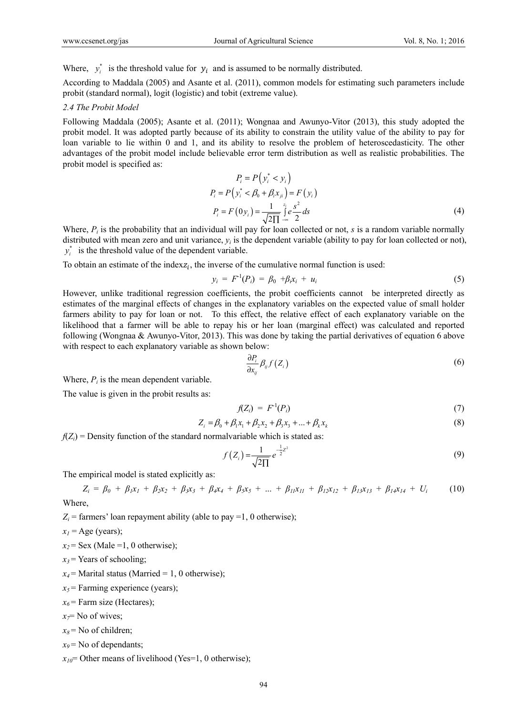Where,  $y_i^*$  is the threshold value for  $y_i$  and is assumed to be normally distributed.

According to Maddala (2005) and Asante et al. (2011), common models for estimating such parameters include probit (standard normal), logit (logistic) and tobit (extreme value).

### *2.4 The Probit Model*

Following Maddala (2005); Asante et al. (2011); Wongnaa and Awunyo-Vitor (2013), this study adopted the probit model. It was adopted partly because of its ability to constrain the utility value of the ability to pay for loan variable to lie within 0 and 1, and its ability to resolve the problem of heteroscedasticity. The other advantages of the probit model include believable error term distribution as well as realistic probabilities. The probit model is specified as:

$$
P_i = P(y_i^* < y_i)
$$
  
\n
$$
P_i = P(y_i^* < \beta_0 + \beta_i x_{ji}) = F(y_i)
$$
  
\n
$$
P_i = F(0y_i) = \frac{1}{\sqrt{2\Pi}} \int_{-\infty}^{z_i} e^{\frac{S^2}{2}} ds
$$
\n(4)

Where,  $P_i$  is the probability that an individual will pay for loan collected or not, *s* is a random variable normally distributed with mean zero and unit variance,  $y_i$  is the dependent variable (ability to pay for loan collected or not),  $y_i^*$  is the threshold value of the dependent variable.

To obtain an estimate of the index $z_i$ , the inverse of the cumulative normal function is used:

$$
y_i = F^1(P_i) = \beta_0 + \beta_i x_i + u_i \tag{5}
$$

However, unlike traditional regression coefficients, the probit coefficients cannot be interpreted directly as estimates of the marginal effects of changes in the explanatory variables on the expected value of small holder farmers ability to pay for loan or not. To this effect, the relative effect of each explanatory variable on the likelihood that a farmer will be able to repay his or her loan (marginal effect) was calculated and reported following (Wongnaa & Awunyo-Vitor, 2013). This was done by taking the partial derivatives of equation 6 above with respect to each explanatory variable as shown below:

$$
\frac{\partial P_i}{\partial x_{ij}} \beta_{ij} f(Z_i) \tag{6}
$$

Where,  $P_i$  is the mean dependent variable.

The value is given in the probit results as:

$$
f(Z_i) = F^1(P_i) \tag{7}
$$

$$
Z_i = \beta_0 + \beta_1 x_1 + \beta_2 x_2 + \beta_3 x_3 + \dots + \beta_k x_k
$$
 (8)

 $f(Z_i)$  = Density function of the standard normal variable which is stated as:

$$
f(Z_i) = \frac{1}{\sqrt{2\Pi}} e^{-\frac{1}{2}z^2}
$$
 (9)

The empirical model is stated explicitly as:

$$
Z_i = \beta_0 + \beta_1 x_1 + \beta_2 x_2 + \beta_3 x_3 + \beta_4 x_4 + \beta_5 x_5 + \dots + \beta_{11} x_{11} + \beta_{12} x_{12} + \beta_{13} x_{13} + \beta_1 x_{14} + U_i
$$
 (10)  
Where.

 $Z_i$  = farmers' loan repayment ability (able to pay =1, 0 otherwise);

 $x_1$  = Age (years);

 $x_2$ = Sex (Male =1, 0 otherwise);

 $x_3$  = Years of schooling;

- $x_4$  = Marital status (Married = 1, 0 otherwise);
- $x_5$  = Farming experience (years);
- $x_6$  = Farm size (Hectares);

 $x=$  No of wives;

- $x_8$  = No of children;
- $x_9$  = No of dependants;

 $x_{10}$ = Other means of livelihood (Yes=1, 0 otherwise);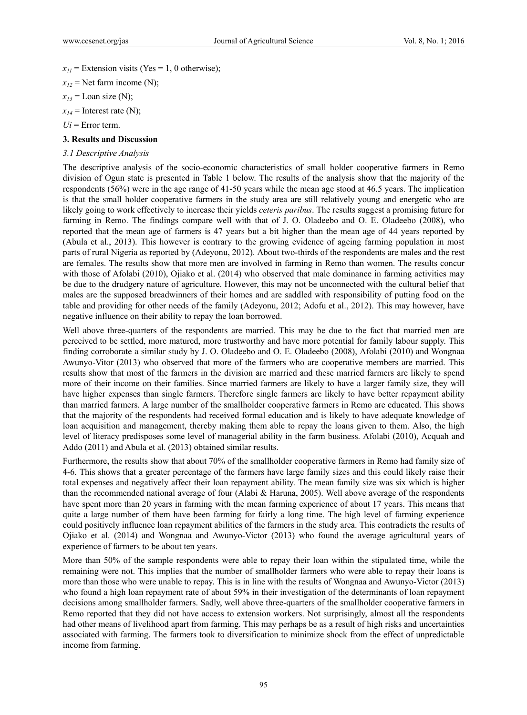$x_{II}$  = Extension visits (Yes = 1, 0 otherwise);  $x_{12}$  = Net farm income (N);  $x_{13}$  = Loan size (N);

 $x_{14}$  = Interest rate (N);

 $U_i$  = Error term.

# **3. Results and Discussion**

## *3.1 Descriptive Analysis*

The descriptive analysis of the socio-economic characteristics of small holder cooperative farmers in Remo division of Ogun state is presented in Table 1 below. The results of the analysis show that the majority of the respondents (56%) were in the age range of 41-50 years while the mean age stood at 46.5 years. The implication is that the small holder cooperative farmers in the study area are still relatively young and energetic who are likely going to work effectively to increase their yields *ceteris paribus*. The results suggest a promising future for farming in Remo. The findings compare well with that of J. O. Oladeebo and O. E. Oladeebo (2008), who reported that the mean age of farmers is 47 years but a bit higher than the mean age of 44 years reported by (Abula et al., 2013). This however is contrary to the growing evidence of ageing farming population in most parts of rural Nigeria as reported by (Adeyonu, 2012). About two-thirds of the respondents are males and the rest are females. The results show that more men are involved in farming in Remo than women. The results concur with those of Afolabi (2010), Ojiako et al. (2014) who observed that male dominance in farming activities may be due to the drudgery nature of agriculture. However, this may not be unconnected with the cultural belief that males are the supposed breadwinners of their homes and are saddled with responsibility of putting food on the table and providing for other needs of the family (Adeyonu, 2012; Adofu et al., 2012). This may however, have negative influence on their ability to repay the loan borrowed.

Well above three-quarters of the respondents are married. This may be due to the fact that married men are perceived to be settled, more matured, more trustworthy and have more potential for family labour supply. This finding corroborate a similar study by J. O. Oladeebo and O. E. Oladeebo (2008), Afolabi (2010) and Wongnaa Awunyo-Vitor (2013) who observed that more of the farmers who are cooperative members are married. This results show that most of the farmers in the division are married and these married farmers are likely to spend more of their income on their families. Since married farmers are likely to have a larger family size, they will have higher expenses than single farmers. Therefore single farmers are likely to have better repayment ability than married farmers. A large number of the smallholder cooperative farmers in Remo are educated. This shows that the majority of the respondents had received formal education and is likely to have adequate knowledge of loan acquisition and management, thereby making them able to repay the loans given to them. Also, the high level of literacy predisposes some level of managerial ability in the farm business. Afolabi (2010), Acquah and Addo (2011) and Abula et al. (2013) obtained similar results.

Furthermore, the results show that about 70% of the smallholder cooperative farmers in Remo had family size of 4-6. This shows that a greater percentage of the farmers have large family sizes and this could likely raise their total expenses and negatively affect their loan repayment ability. The mean family size was six which is higher than the recommended national average of four (Alabi & Haruna, 2005). Well above average of the respondents have spent more than 20 years in farming with the mean farming experience of about 17 years. This means that quite a large number of them have been farming for fairly a long time. The high level of farming experience could positively influence loan repayment abilities of the farmers in the study area. This contradicts the results of Ojiako et al. (2014) and Wongnaa and Awunyo-Victor (2013) who found the average agricultural years of experience of farmers to be about ten years.

More than 50% of the sample respondents were able to repay their loan within the stipulated time, while the remaining were not. This implies that the number of smallholder farmers who were able to repay their loans is more than those who were unable to repay. This is in line with the results of Wongnaa and Awunyo-Victor (2013) who found a high loan repayment rate of about 59% in their investigation of the determinants of loan repayment decisions among smallholder farmers. Sadly, well above three-quarters of the smallholder cooperative farmers in Remo reported that they did not have access to extension workers. Not surprisingly, almost all the respondents had other means of livelihood apart from farming. This may perhaps be as a result of high risks and uncertainties associated with farming. The farmers took to diversification to minimize shock from the effect of unpredictable income from farming.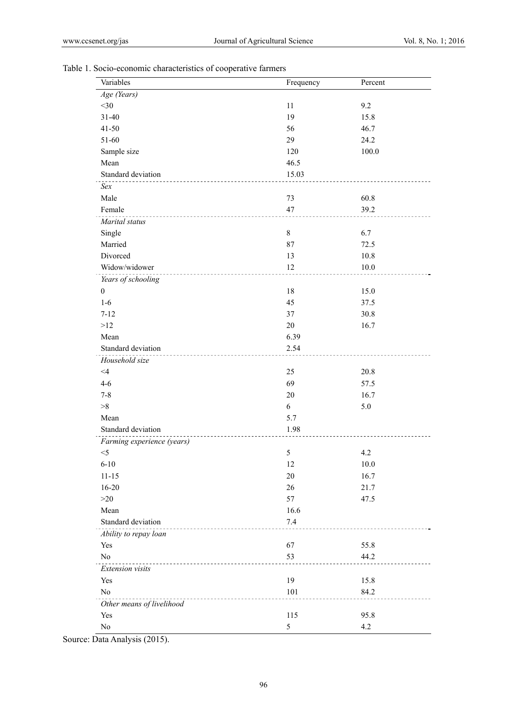|  |  | Table 1. Socio-economic characteristics of cooperative farmers |
|--|--|----------------------------------------------------------------|
|  |  |                                                                |

| Variables                              | Frequency | Percent |
|----------------------------------------|-----------|---------|
| Age (Years)                            |           |         |
| $<$ 30                                 | 11        | 9.2     |
| $31 - 40$                              | 19        | 15.8    |
| $41 - 50$                              | 56        | 46.7    |
| 51-60                                  | 29        | 24.2    |
| Sample size                            | 120       | 100.0   |
| Mean                                   | 46.5      |         |
| Standard deviation<br>.                | 15.03     |         |
| Sex                                    |           |         |
| Male                                   | 73        | 60.8    |
| Female                                 | 47        | 39.2    |
| Marital status                         |           |         |
| Single                                 | $8\,$     | 6.7     |
| Married                                | 87        | 72.5    |
| Divorced                               | 13        | 10.8    |
| Widow/widower<br>.                     | 12        | 10.0    |
| Years of schooling                     |           |         |
| $\boldsymbol{0}$                       | 18        | 15.0    |
| $1-6$                                  | 45        | 37.5    |
| $7 - 12$                               | 37        | 30.8    |
| >12                                    | 20        | 16.7    |
| Mean                                   | 6.39      |         |
| Standard deviation                     | 2.54      |         |
| Household size                         |           |         |
| $\leq 4$                               | 25        | 20.8    |
| $4 - 6$                                | 69        | 57.5    |
| $7 - 8$                                | 20        | 16.7    |
| >8                                     | 6         | 5.0     |
| Mean                                   | 5.7       |         |
| Standard deviation                     | 1.98      |         |
| Farming experience (years)             |           |         |
| $<$ 5                                  | 5         | 4.2     |
| $6 - 10$                               | 12        | 10.0    |
| $11 - 15$                              | 20        | 16.7    |
| $16 - 20$                              | 26        | 21.7    |
| >20                                    | 57        | 47.5    |
| Mean                                   | 16.6      |         |
| Standard deviation                     | $7.4$     |         |
| Ability to repay loan                  |           |         |
| Yes                                    | 67        | 55.8    |
| $\rm No$<br>__________________________ | 53        | 44.2    |
| Extension visits                       |           |         |
| Yes                                    | 19        | 15.8    |
| N <sub>0</sub>                         | 101       | 84.2    |
| Other means of livelihood              |           |         |
| Yes                                    | 115       | 95.8    |
| No                                     | 5         | 4.2     |

Source: Data Analysis (2015).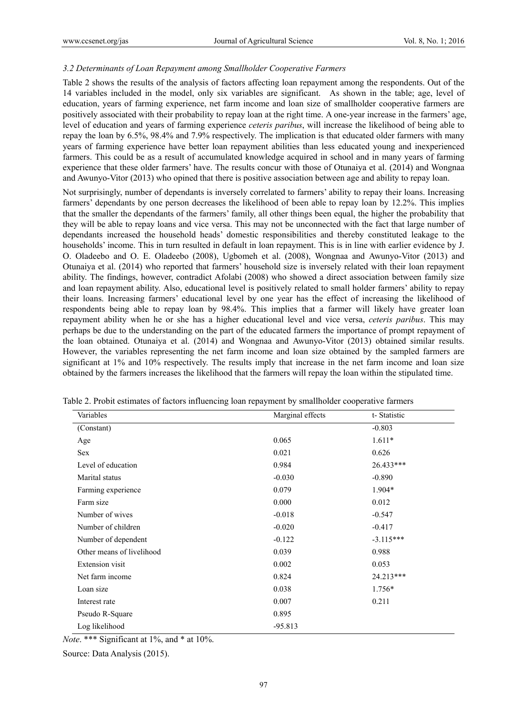## *3.2 Determinants of Loan Repayment among Smallholder Cooperative Farmers*

Table 2 shows the results of the analysis of factors affecting loan repayment among the respondents. Out of the 14 variables included in the model, only six variables are significant. As shown in the table; age, level of education, years of farming experience, net farm income and loan size of smallholder cooperative farmers are positively associated with their probability to repay loan at the right time. A one-year increase in the farmers' age, level of education and years of farming experience *ceteris paribus*, will increase the likelihood of being able to repay the loan by 6.5%, 98.4% and 7.9% respectively. The implication is that educated older farmers with many years of farming experience have better loan repayment abilities than less educated young and inexperienced farmers. This could be as a result of accumulated knowledge acquired in school and in many years of farming experience that these older farmers' have. The results concur with those of Otunaiya et al. (2014) and Wongnaa and Awunyo-Vitor (2013) who opined that there is positive association between age and ability to repay loan.

Not surprisingly, number of dependants is inversely correlated to farmers' ability to repay their loans. Increasing farmers' dependants by one person decreases the likelihood of been able to repay loan by 12.2%. This implies that the smaller the dependants of the farmers' family, all other things been equal, the higher the probability that they will be able to repay loans and vice versa. This may not be unconnected with the fact that large number of dependants increased the household heads' domestic responsibilities and thereby constituted leakage to the households' income. This in turn resulted in default in loan repayment. This is in line with earlier evidence by J. O. Oladeebo and O. E. Oladeebo (2008), Ugbomeh et al. (2008), Wongnaa and Awunyo-Vitor (2013) and Otunaiya et al. (2014) who reported that farmers' household size is inversely related with their loan repayment ability. The findings, however, contradict Afolabi (2008) who showed a direct association between family size and loan repayment ability. Also, educational level is positively related to small holder farmers' ability to repay their loans. Increasing farmers' educational level by one year has the effect of increasing the likelihood of respondents being able to repay loan by 98.4%. This implies that a farmer will likely have greater loan repayment ability when he or she has a higher educational level and vice versa, *ceteris paribus*. This may perhaps be due to the understanding on the part of the educated farmers the importance of prompt repayment of the loan obtained. Otunaiya et al. (2014) and Wongnaa and Awunyo-Vitor (2013) obtained similar results. However, the variables representing the net farm income and loan size obtained by the sampled farmers are significant at 1% and 10% respectively. The results imply that increase in the net farm income and loan size obtained by the farmers increases the likelihood that the farmers will repay the loan within the stipulated time.

| Variables                 | Marginal effects | t-Statistic |
|---------------------------|------------------|-------------|
| (Constant)                |                  | $-0.803$    |
| Age                       | 0.065            | $1.611*$    |
| Sex                       | 0.021            | 0.626       |
| Level of education        | 0.984            | 26.433***   |
| Marital status            | $-0.030$         | $-0.890$    |
| Farming experience        | 0.079            | 1.904*      |
| Farm size                 | 0.000            | 0.012       |
| Number of wives           | $-0.018$         | $-0.547$    |
| Number of children        | $-0.020$         | $-0.417$    |
| Number of dependent       | $-0.122$         | $-3.115***$ |
| Other means of livelihood | 0.039            | 0.988       |
| <b>Extension</b> visit    | 0.002            | 0.053       |
| Net farm income           | 0.824            | 24.213***   |
| Loan size                 | 0.038            | $1.756*$    |
| Interest rate             | 0.007            | 0.211       |
| Pseudo R-Square           | 0.895            |             |
| Log likelihood            | $-95.813$        |             |

Table 2. Probit estimates of factors influencing loan repayment by smallholder cooperative farmers

*Note*. \*\*\* Significant at 1%, and \* at 10%.

Source: Data Analysis (2015).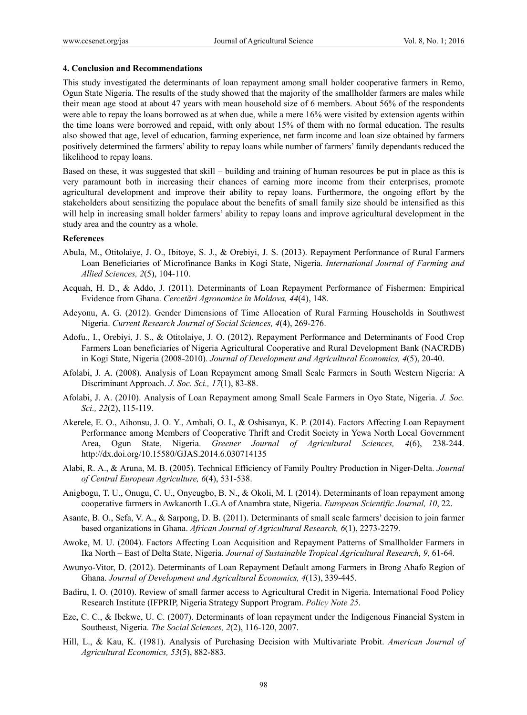#### **4. Conclusion and Recommendations**

This study investigated the determinants of loan repayment among small holder cooperative farmers in Remo, Ogun State Nigeria. The results of the study showed that the majority of the smallholder farmers are males while their mean age stood at about 47 years with mean household size of 6 members. About 56% of the respondents were able to repay the loans borrowed as at when due, while a mere 16% were visited by extension agents within the time loans were borrowed and repaid, with only about 15% of them with no formal education. The results also showed that age, level of education, farming experience, net farm income and loan size obtained by farmers positively determined the farmers' ability to repay loans while number of farmers' family dependants reduced the likelihood to repay loans.

Based on these, it was suggested that skill – building and training of human resources be put in place as this is very paramount both in increasing their chances of earning more income from their enterprises, promote agricultural development and improve their ability to repay loans. Furthermore, the ongoing effort by the stakeholders about sensitizing the populace about the benefits of small family size should be intensified as this will help in increasing small holder farmers' ability to repay loans and improve agricultural development in the study area and the country as a whole.

## **References**

- Abula, M., Otitolaiye, J. O., Ibitoye, S. J., & Orebiyi, J. S. (2013). Repayment Performance of Rural Farmers Loan Beneficiaries of Microfinance Banks in Kogi State, Nigeria. *International Journal of Farming and Allied Sciences, 2*(5), 104-110.
- Acquah, H. D., & Addo, J. (2011). Determinants of Loan Repayment Performance of Fishermen: Empirical Evidence from Ghana. *Cercetări Agronomice în Moldova, 44*(4), 148.
- Adeyonu, A. G. (2012). Gender Dimensions of Time Allocation of Rural Farming Households in Southwest Nigeria. *Current Research Journal of Social Sciences, 4*(4), 269-276.
- Adofu., I., Orebiyi, J. S., & Otitolaiye, J. O. (2012). Repayment Performance and Determinants of Food Crop Farmers Loan beneficiaries of Nigeria Agricultural Cooperative and Rural Development Bank (NACRDB) in Kogi State, Nigeria (2008-2010). *Journal of Development and Agricultural Economics, 4*(5), 20-40.
- Afolabi, J. A. (2008). Analysis of Loan Repayment among Small Scale Farmers in South Western Nigeria: A Discriminant Approach. *J. Soc. Sci., 17*(1), 83-88.
- Afolabi, J. A. (2010). Analysis of Loan Repayment among Small Scale Farmers in Oyo State, Nigeria. *J. Soc. Sci., 22*(2), 115-119.
- Akerele, E. O., Aihonsu, J. O. Y., Ambali, O. I., & Oshisanya, K. P. (2014). Factors Affecting Loan Repayment Performance among Members of Cooperative Thrift and Credit Society in Yewa North Local Government Area, Ogun State, Nigeria. *Greener Journal of Agricultural Sciences, 4*(6), 238-244. http://dx.doi.org/10.15580/GJAS.2014.6.030714135
- Alabi, R. A., & Aruna, M. B. (2005). Technical Efficiency of Family Poultry Production in Niger-Delta. *Journal of Central European Agriculture, 6*(4), 531-538.
- Anigbogu, T. U., Onugu, C. U., Onyeugbo, B. N., & Okoli, M. I. (2014). Determinants of loan repayment among cooperative farmers in Awkanorth L.G.A of Anambra state, Nigeria. *European Scientific Journal, 10*, 22.
- Asante, B. O., Sefa, V. A., & Sarpong, D. B. (2011). Determinants of small scale farmers' decision to join farmer based organizations in Ghana. *African Journal of Agricultural Research, 6*(1), 2273-2279.
- Awoke, M. U. (2004). Factors Affecting Loan Acquisition and Repayment Patterns of Smallholder Farmers in Ika North – East of Delta State, Nigeria. *Journal of Sustainable Tropical Agricultural Research, 9*, 61-64.
- Awunyo-Vitor, D. (2012). Determinants of Loan Repayment Default among Farmers in Brong Ahafo Region of Ghana. *Journal of Development and Agricultural Economics, 4*(13), 339-445.
- Badiru, I. O. (2010). Review of small farmer access to Agricultural Credit in Nigeria. International Food Policy Research Institute (IFPRIP, Nigeria Strategy Support Program. *Policy Note 25*.
- Eze, C. C., & Ibekwe, U. C. (2007). Determinants of loan repayment under the Indigenous Financial System in Southeast, Nigeria. *The Social Sciences, 2*(2), 116-120, 2007.
- Hill, L., & Kau, K. (1981). Analysis of Purchasing Decision with Multivariate Probit. *American Journal of Agricultural Economics, 53*(5), 882-883.